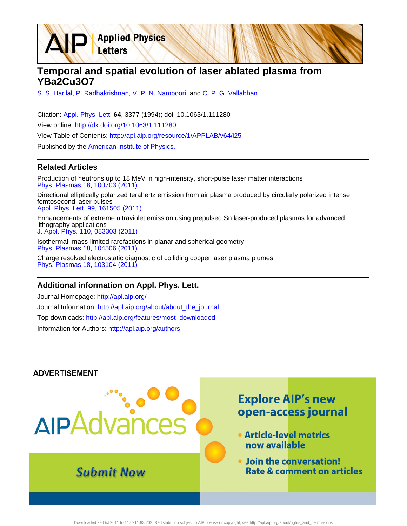**Temporal and spatial evolution of laser ablated plasma from YBa2Cu3O7**

[S. S. Harilal,](http://apl.aip.org/search?sortby=newestdate&q=&searchzone=2&searchtype=searchin&faceted=faceted&key=AIP_ALL&possible1=S. S. Harilal&possible1zone=author&alias=&displayid=AIP&ver=pdfcov) [P. Radhakrishnan,](http://apl.aip.org/search?sortby=newestdate&q=&searchzone=2&searchtype=searchin&faceted=faceted&key=AIP_ALL&possible1=P. Radhakrishnan&possible1zone=author&alias=&displayid=AIP&ver=pdfcov) [V. P. N. Nampoori,](http://apl.aip.org/search?sortby=newestdate&q=&searchzone=2&searchtype=searchin&faceted=faceted&key=AIP_ALL&possible1=V. P. N. Nampoori&possible1zone=author&alias=&displayid=AIP&ver=pdfcov) and [C. P. G. Vallabhan](http://apl.aip.org/search?sortby=newestdate&q=&searchzone=2&searchtype=searchin&faceted=faceted&key=AIP_ALL&possible1=C. P. G. Vallabhan&possible1zone=author&alias=&displayid=AIP&ver=pdfcov)

Citation: [Appl. Phys. Lett.](http://apl.aip.org/?ver=pdfcov) **64**, 3377 (1994); doi: 10.1063/1.111280 View online: [http://dx.doi.org/10.1063/1.111280](http://link.aip.org/link/doi/10.1063/1.111280?ver=pdfcov) View Table of Contents: [http://apl.aip.org/resource/1/APPLAB/v64/i25](http://apl.aip.org/resource/1/APPLAB/v64/i25?ver=pdfcov) Published by the [American Institute of Physics.](http://www.aip.org/?ver=pdfcov)

**Applied Physics** 

Letters

## **Related Articles**

Production of neutrons up to 18 MeV in high-intensity, short-pulse laser matter interactions [Phys. Plasmas 18, 100703 \(2011\)](http://link.aip.org/link/doi/10.1063/1.3654040?ver=pdfcov)

Directional elliptically polarized terahertz emission from air plasma produced by circularly polarized intense femtosecond laser pulses [Appl. Phys. Lett. 99, 161505 \(2011\)](http://link.aip.org/link/doi/10.1063/1.3651764?ver=pdfcov)

Enhancements of extreme ultraviolet emission using prepulsed Sn laser-produced plasmas for advanced lithography applications [J. Appl. Phys. 110, 083303 \(2011\)](http://link.aip.org/link/doi/10.1063/1.3647779?ver=pdfcov)

Isothermal, mass-limited rarefactions in planar and spherical geometry [Phys. Plasmas 18, 104506 \(2011\)](http://link.aip.org/link/doi/10.1063/1.3642612?ver=pdfcov)

Charge resolved electrostatic diagnostic of colliding copper laser plasma plumes [Phys. Plasmas 18, 103104 \(2011\)](http://link.aip.org/link/doi/10.1063/1.3633486?ver=pdfcov)

## **Additional information on Appl. Phys. Lett.**

Journal Homepage: [http://apl.aip.org/](http://apl.aip.org/?ver=pdfcov) Journal Information: [http://apl.aip.org/about/about\\_the\\_journal](http://apl.aip.org/about/about_the_journal?ver=pdfcov) Top downloads: [http://apl.aip.org/features/most\\_downloaded](http://apl.aip.org/features/most_downloaded?ver=pdfcov) Information for Authors: [http://apl.aip.org/authors](http://apl.aip.org/authors?ver=pdfcov)

## **ADVERTISEMENT**

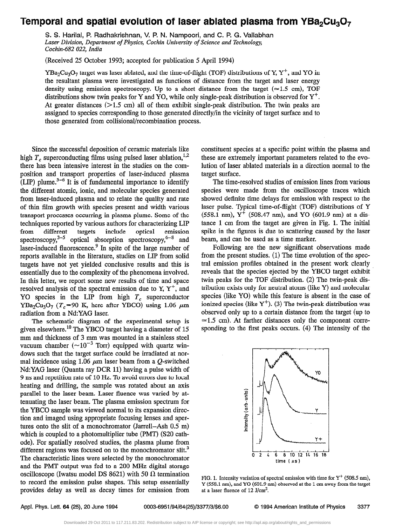## Temporal and spatial evolution of laser ablated plasma from  $YBa<sub>2</sub>Cu<sub>3</sub>O<sub>7</sub>$

S. S. Harilal, P. Radhakrishnan, V. P. N. Nampoori, and C. P. G. Vallabhan Laser Division, Department of Physics, Cochin University of Science and Technology, Cochin-682 022, India

(Received 25 October 1993; accepted for publication 5 April 1994)

YBa<sub>2</sub>Cu<sub>3</sub>O<sub>7</sub> target was laser ablated, and the time-of-flight (TOF) distributions of Y, Y<sup>+</sup>, and YO in the resultant plasma were investigated as functions of distance from the target and laser energy density using emission spectroscopy. Up to a short distance from the target ( $\simeq$ 1.5 cm), TOF distributions show twin peaks for Y and YO, while only single-peak distribution is observed for  $Y^+$ . At greater distances  $(>1.5 \text{ cm})$  all of them exhibit single-peak distribution. The twin peaks are assigned to species corresponding to those generated directly/m the vicinity of target surface and to those generated from collisional/recombination process.

Since the successful deposition of ceramic materials like high  $T_c$  superconducting films using pulsed laser ablation,<sup>1,2</sup> there has been intensive interest in the studies on the composition and transport properties of laser-induced plasma  $(LIP)$  plume.<sup>3-6</sup> It is of fundamental importance to identify the different atomic, ionic, and molecular species generated from laser-induced plasma and to relate the quality and rate of thin film growth with species present and width various transport processes occurring in plasma plume. Some of the techniques reported by various authors for characterizing LIP from different targets include optical emission spectroscopy,<sup>3-5</sup> optical absorption spectroscopy,<sup>6-8</sup> and laser-induced fluorescence.<sup>9</sup> In spite of the large number of reports available in the literature, studies on LIP from solid targets have not yet yielded conclusive results and this is essentially due to the complexity of the phenomena involved. In this letter, we report some new results of time and space resolved analysis of the spectral emission due to Y,  $Y^+$ , and YO species in the LIP from high  $T_c$  superconductor YBa<sub>2</sub>Cu<sub>3</sub>O<sub>7</sub> (T<sub>c</sub>=90 K, here after YBCO) using 1.06  $\mu$ m radiation from a Nd:YAG laser.

The schematic diagram of the experimental setup is given elsewhere.<sup>10</sup> The YBCO target having a diameter of 15 mm and thickness of 3 mm was mounted in a stainless steel vacuum chamber ( $\sim 10^{-3}$  Torr) equipped with quartz windows such that the target surface could be irradiated at normal incidence using 1.06  $\mu$ m laser beam from a Q-switched Nd:YAG laser (Quanta ray DCR 11) having a pulse width of 9 ns and repetition rate of 10 Hz. To avoid errors due to local heating and drilling, the sample was rotated about an axis parallel to the laser beam. Laser fluence was varied by attenuating the laser beam. The plasma emission spectrum for the YBCO sample was viewed normal to its expansion direction and imaged using appropriate focusing lenses and apertures onto the slit of a monochromator (Jarrell-Ash 0.5 m) which is coupled to a photomultiplier tube (PMT) (S20 cathode). For spatially resolved studies, the plasma plume from different regions was focused on to the monochromator slit.<sup>3</sup> The characteristic lines were selected by the monochromator and the PMT output was fed to a 200 MHz digital storage oscilloscope (Iwatsu model DS 8621) with 50  $\Omega$  termination to record the emission pulse shapes. This setup essentially provides delay as well as decay times for emission from constituent species at a specific point within the plasma and these are extremely important parameters related to the evolution of laser ablated materials in a direction normal to the target surface.

The time-resolved studies of emission lines from various species were made from the oscilloscope traces which showed definite time delays for emission with respect to the laser pulse. Typical time-of-flight (TOF) distributions of Y (558.1 nm),  $Y^+$  (508.47 nm), and YO (601.9 nm) at a distance 1 cm from the target are given in Fig. 1. The initial spike in the figures is due to scattering caused by the laser beam, and can be used as a time marker.

Following are the new significant observations made from the present studies. (1) The time evolution of the spectral emission profiles obtained in the present work clearly reveals that the species ejected by the YBCO target exhibit twin peaks for the TOF distribution. (2) The twin-peak distribution exists only for neutral atoms (like Y) and molecular species (like YO) while this feature is absent in the case of ionized species (like  $Y^+$ ). (3) The twin-peak distribution was observed only up to a certain distance from the target (up to  $\simeq$ 1.5 cm). At farther distances only the component corresponding to the first peaks occurs. (4) The intensity of the



FIG. 1. Intensity variation of spectral emission with time for  $Y^+$  (508.5 nm), Y (558.1 nm), and YO (601.9 nm) observed at the 1 cm away from the target at a laser fluence of  $12$  J/cm<sup>2</sup>.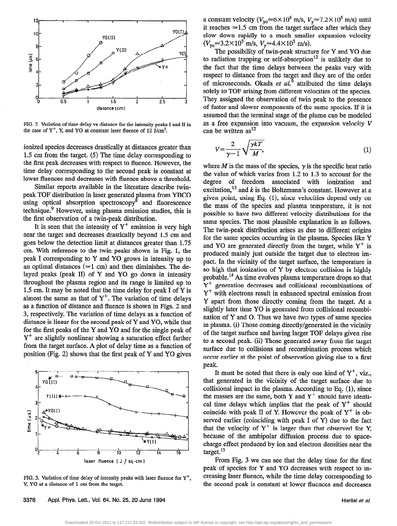

FIG. 2. Variation of time delay vs distance for the intensity peaks I and II in the case of  $Y^+$ , Y, and YO at constant laser fluence of 12 J/cm<sup>2</sup>.

ionized species decreases drastically at distances greater than 1.5 cm from the target. (5) The time delay corresponding to the first peak decreases with respect to fluence. However, the time delay corresponding to the second peak is constant at lower fluences and decreases with fluence above a threshold.

Similar reports available in the literature describe twinpeak TOF distribution in laser generated plasma from YBCO using optical absorption spectroscopy<sup>8</sup> and fluorescence technique.<sup>9</sup> However, using plasma emission studies, this is the first observation of a twin-peak distribution.

It is seen that the intensity of  $Y^+$  emission is very high near the target and decreases drastically beyond 1.5 cm and goes below the detection limit at distances greater than 1.75 cm. With reference to the twin peaks shown in Fig. 1, the peak I corresponding to Y and YO grows in intensity up to an optimal distances ( $\simeq$ 1 cm) and then diminishes. The delayed peaks (peak II) of Y and YO go down in intensity throughout the plasma region and its range is limited up to 1.5 cm. It may be noted that the time delay for peak I of Y is almost the same as that of  $Y^+$ . The variation of time delays as a function of distance and fluence is shown in Figs. 2 and 3, respectively. The variation of time delays as a function of distance is linear for the second peak of Y and YO, while that for the first peaks of the Y and YO and for the single peak of  $Y^+$  are slightly nonlinear showing a saturation effect farther from the target surface. A plot of delay time as a function of position (Fig. 2) shows that the first peak of Y and YO gives



FIG. 3. Variation of time delay of intensity peaks with laser fluence for  $Y^+$ , Y, YO at a distance of 1 cm from the target.

a constant velocity ( $V_{yo} \approx 6 \times 10^5$  m/s,  $V_y \approx 7.2 \times 10^5$  m/s) until it reaches  $\simeq$ 1.5 cm from the target surface after which they slow down rapidly to a much smaller expansion velocity  $(V_{\text{vo}} \approx 3.2 \times 10^5 \text{ m/s}, V_{\text{v}} \approx 4.4 \times 10^5 \text{ m/s}).$ 

The possibility of twin-peak structure for Y and YO due to radiation trapping or self-absorption<sup>12</sup> is unlikely due to the fact that the time delays between the peaks vary with respect to distance from the target and they are of the order of microseconds. Okada *et al.*<sup>9</sup> attributed the time delays solely to TOF arising from different velocities of the species. They assigned the observation of twin peak to the presence of faster and slower components of the same species. If it is assumed that the terminal stage of the plume can be modeled as a free expansion into vacuum, the expansion velocity V can be written  $as<sup>12</sup>$ 

$$
V = \frac{2}{\gamma - 1} \sqrt{\frac{\gamma kT}{M}},\tag{1}
$$

where *M* is the mass of the species,  $\gamma$  is the specific heat ratio the value of which varies from 1.2 to 1.3 to account for the degree of freedom associated with ionization and excitation,<sup>13</sup> and  $k$  is the Boltzmann's constant. However at a given point, using Eq.  $(1)$ , since velocities depend only on the mass of the species and plasma temperature, it is not possible to have two different velocity distributions for the same species. The most plausible explanation is as follows. The twin-peak distribution arises as due to different origins for the same species occurring in the plasma. Species like Y and YO are generated directly from the target, while  $Y^+$  is produced mainly just outside the target due to electron impact. In the vicinity of the target surface, the temperature is so high that ionization of Y by electron collision is highly probable.14 As time evolves plasma temperature drops so that  $Y^+$  generation decreases and collisional recombinations of  $Y^+$  with electrons result in enhanced spectral emission from Y apart from those directly coming from the target. At a slightly later time YO is generated from collisional recombination of Y and 0. Thus we have two types of same species in plasma. (i) Those coming directly/generated in the vicinity of the target surface and having larger TOF delays given rise to a second peak. (ii) Those generated away from the target surface due to collisions and recombination process which occur earlier at the point of observation giving rise to a first peak.

It must be noted that there is only one kind of  $Y^+$ , viz., that generated in the vicinity of the target surface due to collisional impact in the plasma. According to Eq. (1), since the masses are the same, both Y and  $Y^+$  should have identical time delays which implies that the peak of  $Y^+$  should coincide with peak II of Y. However the peak of  $Y^+$  is observed earlier (coinciding with peak I of Y) due to the fact that the velocity of  $Y^+$  is larger than that observed for Y, because of the ambipolar diffusion process due to spacecharge effect produced by ion and electron densities near the  $t$ arget.<sup>15</sup>

From Fig. 3 we can see that the delay time for the frrst peak of species for Y and YO decreases with respect to increasing laser fluence, while the time delay corresponding to the second peak is constant at lower fluences and decreases